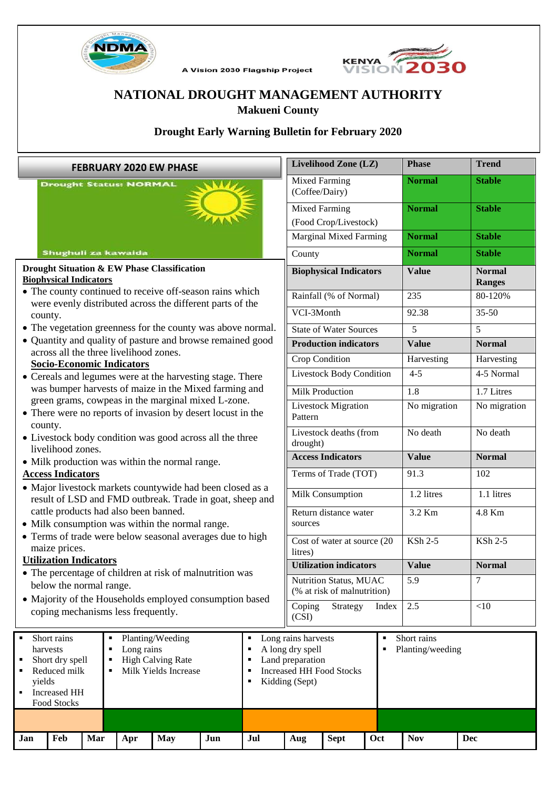

A Vision 2030 Flagship Project



# **NATIONAL DROUGHT MANAGEMENT AUTHORITY Makueni County**

# **Drought Early Warning Bulletin for February 2020**

| <b>FEBRUARY 2020 EW PHASE</b>                                                                                                                                                                                                                                                                                                                                                                                                                                                                                            |     |     |     |            |     |        | Livelihood Zone (LZ)                                                                                                                                          |                               |     | <b>Phase</b>  | <b>Trend</b>                   |  |
|--------------------------------------------------------------------------------------------------------------------------------------------------------------------------------------------------------------------------------------------------------------------------------------------------------------------------------------------------------------------------------------------------------------------------------------------------------------------------------------------------------------------------|-----|-----|-----|------------|-----|--------|---------------------------------------------------------------------------------------------------------------------------------------------------------------|-------------------------------|-----|---------------|--------------------------------|--|
| <b>Drought Status: NORMAL</b>                                                                                                                                                                                                                                                                                                                                                                                                                                                                                            |     |     |     |            |     |        | <b>Mixed Farming</b><br>(Coffee/Dairy)                                                                                                                        |                               |     | <b>Normal</b> | <b>Stable</b>                  |  |
|                                                                                                                                                                                                                                                                                                                                                                                                                                                                                                                          |     |     |     |            |     |        | <b>Mixed Farming</b>                                                                                                                                          | (Food Crop/Livestock)         |     | <b>Normal</b> | <b>Stable</b>                  |  |
|                                                                                                                                                                                                                                                                                                                                                                                                                                                                                                                          |     |     |     |            |     |        |                                                                                                                                                               | <b>Marginal Mixed Farming</b> |     | <b>Normal</b> | <b>Stable</b>                  |  |
| Shughuli za kawaida                                                                                                                                                                                                                                                                                                                                                                                                                                                                                                      |     |     |     |            |     |        | County                                                                                                                                                        |                               |     | <b>Normal</b> | <b>Stable</b>                  |  |
| Drought Situation & EW Phase Classification<br><b>Biophysical Indicators</b>                                                                                                                                                                                                                                                                                                                                                                                                                                             |     |     |     |            |     |        | <b>Biophysical Indicators</b>                                                                                                                                 |                               |     | <b>Value</b>  | <b>Normal</b><br><b>Ranges</b> |  |
| • The county continued to receive off-season rains which                                                                                                                                                                                                                                                                                                                                                                                                                                                                 |     |     |     |            |     |        | Rainfall (% of Normal)                                                                                                                                        |                               |     | 235           | 80-120%                        |  |
| were evenly distributed across the different parts of the                                                                                                                                                                                                                                                                                                                                                                                                                                                                |     |     |     |            |     |        | VCI-3Month                                                                                                                                                    |                               |     | 92.38         | $35 - 50$                      |  |
| county.<br>• The vegetation greenness for the county was above normal.                                                                                                                                                                                                                                                                                                                                                                                                                                                   |     |     |     |            |     |        | <b>State of Water Sources</b>                                                                                                                                 |                               |     | 5             | 5                              |  |
| • Quantity and quality of pasture and browse remained good                                                                                                                                                                                                                                                                                                                                                                                                                                                               |     |     |     |            |     |        | <b>Production indicators</b>                                                                                                                                  |                               |     | <b>Value</b>  | <b>Normal</b>                  |  |
| across all the three livelihood zones.                                                                                                                                                                                                                                                                                                                                                                                                                                                                                   |     |     |     |            |     |        | Crop Condition                                                                                                                                                |                               |     | Harvesting    | Harvesting                     |  |
| <b>Socio-Economic Indicators</b>                                                                                                                                                                                                                                                                                                                                                                                                                                                                                         |     |     |     |            |     |        | <b>Livestock Body Condition</b>                                                                                                                               |                               |     | $4 - 5$       | 4-5 Normal                     |  |
| • Cereals and legumes were at the harvesting stage. There<br>was bumper harvests of maize in the Mixed farming and                                                                                                                                                                                                                                                                                                                                                                                                       |     |     |     |            |     |        |                                                                                                                                                               |                               |     |               |                                |  |
| green grams, cowpeas in the marginal mixed L-zone.                                                                                                                                                                                                                                                                                                                                                                                                                                                                       |     |     |     |            |     |        | <b>Milk Production</b>                                                                                                                                        |                               |     | 1.8           | 1.7 Litres                     |  |
| • There were no reports of invasion by desert locust in the<br>county.<br>• Livestock body condition was good across all the three<br>livelihood zones.                                                                                                                                                                                                                                                                                                                                                                  |     |     |     |            |     |        | <b>Livestock Migration</b><br>Pattern                                                                                                                         |                               |     | No migration  | No migration                   |  |
|                                                                                                                                                                                                                                                                                                                                                                                                                                                                                                                          |     |     |     |            |     |        | Livestock deaths (from<br>drought)                                                                                                                            |                               |     | No death      | No death                       |  |
| • Milk production was within the normal range.                                                                                                                                                                                                                                                                                                                                                                                                                                                                           |     |     |     |            |     |        | <b>Access Indicators</b>                                                                                                                                      |                               |     | <b>Value</b>  | <b>Normal</b>                  |  |
| <b>Access Indicators</b>                                                                                                                                                                                                                                                                                                                                                                                                                                                                                                 |     |     |     |            |     |        | Terms of Trade (TOT)                                                                                                                                          |                               |     | 91.3          | 102                            |  |
| • Major livestock markets countywide had been closed as a<br>result of LSD and FMD outbreak. Trade in goat, sheep and<br>cattle products had also been banned.<br>• Milk consumption was within the normal range.<br>• Terms of trade were below seasonal averages due to high<br>maize prices.<br><b>Utilization Indicators</b><br>• The percentage of children at risk of malnutrition was<br>below the normal range.<br>• Majority of the Households employed consumption based<br>coping mechanisms less frequently. |     |     |     |            |     |        | Milk Consumption                                                                                                                                              |                               |     | 1.2 litres    | 1.1 litres                     |  |
|                                                                                                                                                                                                                                                                                                                                                                                                                                                                                                                          |     |     |     |            |     |        | Return distance water<br>sources                                                                                                                              |                               |     | 3.2 Km        | 4.8 Km                         |  |
|                                                                                                                                                                                                                                                                                                                                                                                                                                                                                                                          |     |     |     |            |     |        | Cost of water at source (20<br>litres)                                                                                                                        |                               |     | KSh 2-5       | KSh 2-5                        |  |
|                                                                                                                                                                                                                                                                                                                                                                                                                                                                                                                          |     |     |     |            |     |        | <b>Utilization indicators</b>                                                                                                                                 |                               |     | <b>Value</b>  | <b>Normal</b>                  |  |
|                                                                                                                                                                                                                                                                                                                                                                                                                                                                                                                          |     |     |     |            |     |        | <b>Nutrition Status, MUAC</b><br>(% at risk of malnutrition)                                                                                                  |                               | 5.9 |               |                                |  |
|                                                                                                                                                                                                                                                                                                                                                                                                                                                                                                                          |     |     |     |            |     |        | Coping<br>Strategy<br>Index<br>(CSI)                                                                                                                          |                               | 2.5 | <10           |                                |  |
| Short rains<br>Planting/Weeding<br>Long rains<br>harvests<br>٠<br>Short dry spell<br><b>High Calving Rate</b><br>Reduced milk<br>Milk Yields Increase<br>п<br>yields<br><b>Increased HH</b><br>п<br>Food Stocks                                                                                                                                                                                                                                                                                                          |     |     |     |            |     | ٠<br>٠ | Long rains harvests<br>Short rains<br>٠<br>A long dry spell<br>Planting/weeding<br>٠<br>Land preparation<br><b>Increased HH Food Stocks</b><br>Kidding (Sept) |                               |     |               |                                |  |
|                                                                                                                                                                                                                                                                                                                                                                                                                                                                                                                          |     |     |     |            |     |        |                                                                                                                                                               |                               |     |               |                                |  |
| Jan                                                                                                                                                                                                                                                                                                                                                                                                                                                                                                                      | Feb | Mar | Apr | <b>May</b> | Jun | Jul    | Aug                                                                                                                                                           | <b>Sept</b>                   | Oct | <b>Nov</b>    | <b>Dec</b>                     |  |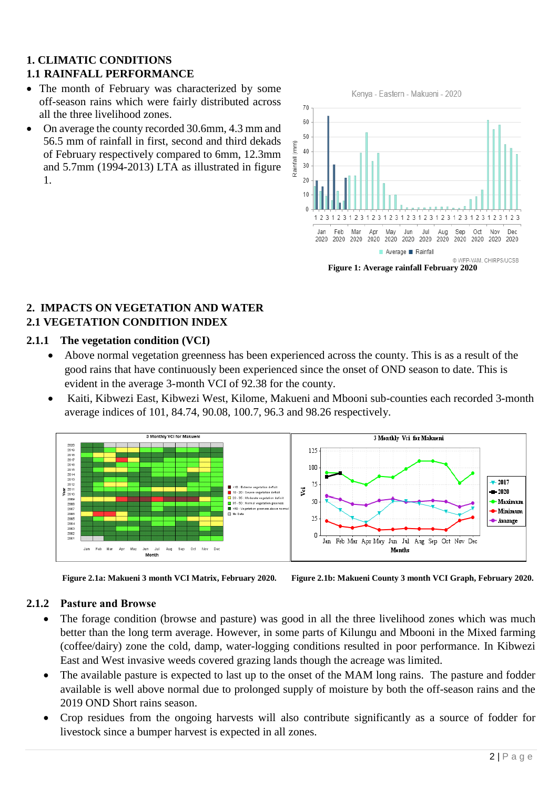# **1. CLIMATIC CONDITIONS 1.1 RAINFALL PERFORMANCE**

- The month of February was characterized by some off-season rains which were fairly distributed across all the three livelihood zones.
- On average the county recorded 30.6mm, 4.3 mm and 56.5 mm of rainfall in first, second and third dekads of February respectively compared to 6mm, 12.3mm and 5.7mm (1994-2013) LTA as illustrated in figure 1.



# **2. IMPACTS ON VEGETATION AND WATER 2.1 VEGETATION CONDITION INDEX**

# **2.1.1 The vegetation condition (VCI)**

- Above normal vegetation greenness has been experienced across the county. This is as a result of the good rains that have continuously been experienced since the onset of OND season to date. This is evident in the average 3-month VCI of 92.38 for the county.
- Kaiti, Kibwezi East, Kibwezi West, Kilome, Makueni and Mbooni sub-counties each recorded 3-month average indices of 101, 84.74, 90.08, 100.7, 96.3 and 98.26 respectively.



**Figure 2.1a: Makueni 3 month VCI Matrix, February 2020. Figure 2.1b: Makueni County 3 month VCI Graph, February 2020.**

# **2.1.2 Pasture and Browse**

- The forage condition (browse and pasture) was good in all the three livelihood zones which was much better than the long term average. However, in some parts of Kilungu and Mbooni in the Mixed farming (coffee/dairy) zone the cold, damp, water-logging conditions resulted in poor performance. In Kibwezi East and West invasive weeds covered grazing lands though the acreage was limited.
- The available pasture is expected to last up to the onset of the MAM long rains. The pasture and fodder available is well above normal due to prolonged supply of moisture by both the off-season rains and the 2019 OND Short rains season.
- Crop residues from the ongoing harvests will also contribute significantly as a source of fodder for livestock since a bumper harvest is expected in all zones.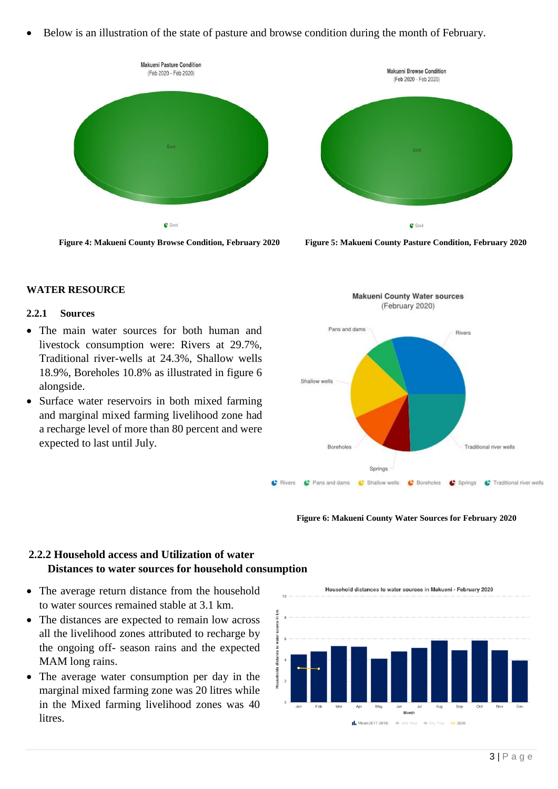• Below is an illustration of the state of pasture and browse condition during the month of February.





 **Figure 4: Makueni County Browse Condition, February 2020 Figure 5: Makueni County Pasture Condition, February 2020**

#### **WATER RESOURCE**

#### **2.2.1 Sources**

- The main water sources for both human and livestock consumption were: Rivers at 29.7%, Traditional river-wells at 24.3%, Shallow wells 18.9%, Boreholes 10.8% as illustrated in figure 6 alongside.
- Surface water reservoirs in both mixed farming and marginal mixed farming livelihood zone had a recharge level of more than 80 percent and were expected to last until July.



#### **Figure 6: Makueni County Water Sources for February 2020**

# **2.2.2 Household access and Utilization of water Distances to water sources for household consumption**

- The average return distance from the household to water sources remained stable at 3.1 km.
- The distances are expected to remain low across all the livelihood zones attributed to recharge by the ongoing off- season rains and the expected MAM long rains.
- The average water consumption per day in the marginal mixed farming zone was 20 litres while in the Mixed farming livelihood zones was 40 litres.

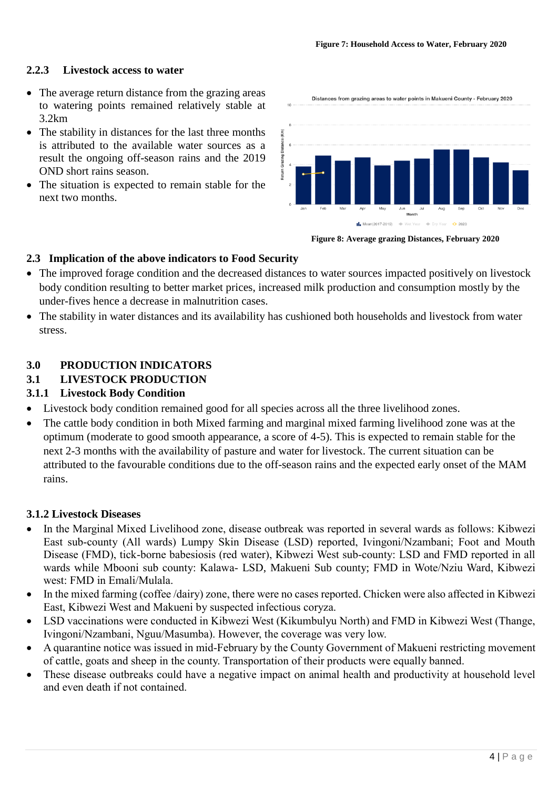#### **2.2.3 Livestock access to water**

- The average return distance from the grazing areas to watering points remained relatively stable at 3.2km
- The stability in distances for the last three months is attributed to the available water sources as a result the ongoing off-season rains and the 2019 OND short rains season.
- The situation is expected to remain stable for the next two months.

Distances from grazing areas to water points in Makueni County - February 2020 )istance (Km) IL Mean(2017-2019)

 **Figure 8: Average grazing Distances, February 2020**

#### **2.3 Implication of the above indicators to Food Security**

- The improved forage condition and the decreased distances to water sources impacted positively on livestock body condition resulting to better market prices, increased milk production and consumption mostly by the under-fives hence a decrease in malnutrition cases.
- The stability in water distances and its availability has cushioned both households and livestock from water stress.

# **3.0 PRODUCTION INDICATORS**

# **3.1 LIVESTOCK PRODUCTION**

### **3.1.1 Livestock Body Condition**

- Livestock body condition remained good for all species across all the three livelihood zones.
- The cattle body condition in both Mixed farming and marginal mixed farming livelihood zone was at the optimum (moderate to good smooth appearance, a score of 4-5). This is expected to remain stable for the next 2-3 months with the availability of pasture and water for livestock. The current situation can be attributed to the favourable conditions due to the off-season rains and the expected early onset of the MAM rains.

#### **3.1.2 Livestock Diseases**

- In the Marginal Mixed Livelihood zone, disease outbreak was reported in several wards as follows: Kibwezi East sub-county (All wards) Lumpy Skin Disease (LSD) reported, Ivingoni/Nzambani; Foot and Mouth Disease (FMD), tick-borne babesiosis (red water), Kibwezi West sub-county: LSD and FMD reported in all wards while Mbooni sub county: Kalawa- LSD, Makueni Sub county; FMD in Wote/Nziu Ward, Kibwezi west: FMD in Emali/Mulala.
- In the mixed farming (coffee /dairy) zone, there were no cases reported. Chicken were also affected in Kibwezi East, Kibwezi West and Makueni by suspected infectious coryza.
- LSD vaccinations were conducted in Kibwezi West (Kikumbulyu North) and FMD in Kibwezi West (Thange, Ivingoni/Nzambani, Nguu/Masumba). However, the coverage was very low.
- A quarantine notice was issued in mid-February by the County Government of Makueni restricting movement of cattle, goats and sheep in the county. Transportation of their products were equally banned.
- These disease outbreaks could have a negative impact on animal health and productivity at household level and even death if not contained.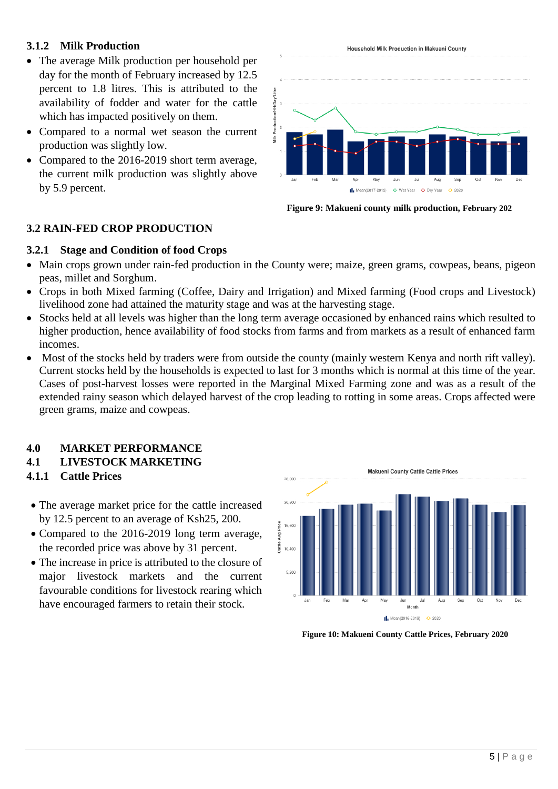# **3.1.2 Milk Production**

- The average Milk production per household per day for the month of February increased by 12.5 percent to 1.8 litres. This is attributed to the availability of fodder and water for the cattle which has impacted positively on them.
- Compared to a normal wet season the current production was slightly low.
- Compared to the 2016-2019 short term average, the current milk production was slightly above by 5.9 percent.



**Figure 9: Makueni county milk production, February 202**

# **3.2 RAIN-FED CROP PRODUCTION**

#### **3.2.1 Stage and Condition of food Crops**

- Main crops grown under rain-fed production in the County were; maize, green grams, cowpeas, beans, pigeon peas, millet and Sorghum.
- Crops in both Mixed farming (Coffee, Dairy and Irrigation) and Mixed farming (Food crops and Livestock) livelihood zone had attained the maturity stage and was at the harvesting stage.
- Stocks held at all levels was higher than the long term average occasioned by enhanced rains which resulted to higher production, hence availability of food stocks from farms and from markets as a result of enhanced farm incomes.
- Most of the stocks held by traders were from outside the county (mainly western Kenya and north rift valley). Current stocks held by the households is expected to last for 3 months which is normal at this time of the year. Cases of post-harvest losses were reported in the Marginal Mixed Farming zone and was as a result of the extended rainy season which delayed harvest of the crop leading to rotting in some areas. Crops affected were green grams, maize and cowpeas.

#### **4.0 MARKET PERFORMANCE**

# **4.1 LIVESTOCK MARKETING**

- **4.1.1 Cattle Prices**
- The average market price for the cattle increased by 12.5 percent to an average of Ksh25, 200.
- Compared to the 2016-2019 long term average, the recorded price was above by 31 percent.
- The increase in price is attributed to the closure of major livestock markets and the current favourable conditions for livestock rearing which have encouraged farmers to retain their stock.



**Figure 10: Makueni County Cattle Prices, February 2020**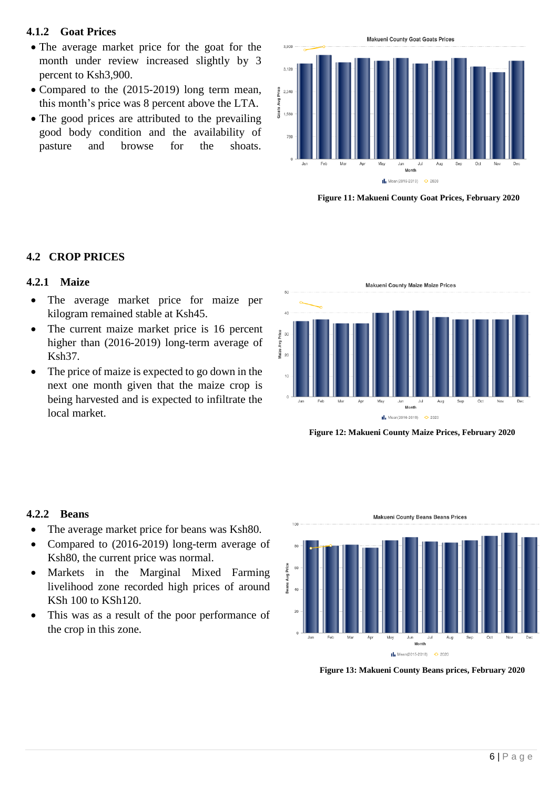# **4.1.2 Goat Prices**

- The average market price for the goat for the month under review increased slightly by 3 percent to Ksh3,900.
- Compared to the (2015-2019) long term mean, this month's price was 8 percent above the LTA.
- The good prices are attributed to the prevailing good body condition and the availability of pasture and browse for the shoats.



 **Figure 11: Makueni County Goat Prices, February 2020**

# **4.2 CROP PRICES**

### **4.2.1 Maize**

- The average market price for maize per kilogram remained stable at Ksh45.
- The current maize market price is 16 percent higher than (2016-2019) long-term average of Ksh37.
- The price of maize is expected to go down in the next one month given that the maize crop is being harvested and is expected to infiltrate the local market.



 **Figure 12: Makueni County Maize Prices, February 2020**

#### **4.2.2 Beans**

- The average market price for beans was Ksh80.
- Compared to (2016-2019) long-term average of Ksh80, the current price was normal.
- Markets in the Marginal Mixed Farming livelihood zone recorded high prices of around KSh 100 to KSh120.
- This was as a result of the poor performance of the crop in this zone.

Makueni County Beans Beans Prices



 **Figure 13: Makueni County Beans prices, February 2020**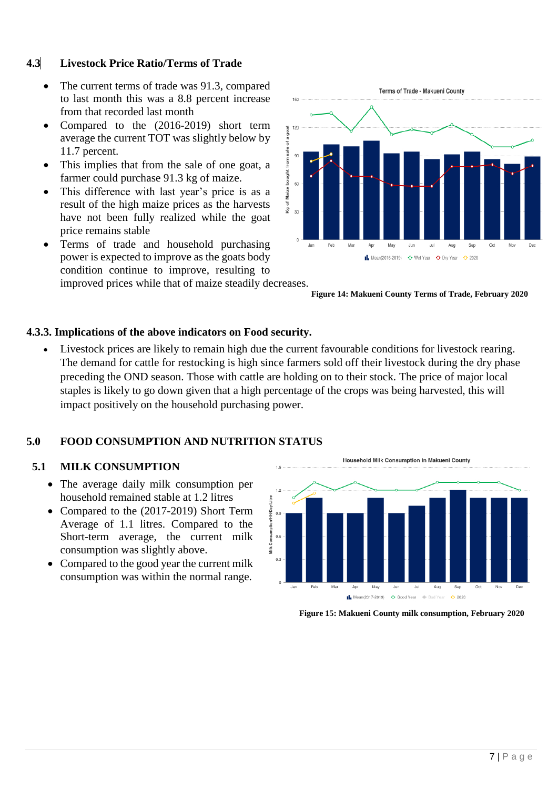# **4.3 Livestock Price Ratio/Terms of Trade**

- The current terms of trade was 91.3, compared to last month this was a 8.8 percent increase from that recorded last month
- Compared to the (2016-2019) short term average the current TOT was slightly below by 11.7 percent.
- This implies that from the sale of one goat, a farmer could purchase 91.3 kg of maize.
- This difference with last year's price is as a result of the high maize prices as the harvests have not been fully realized while the goat price remains stable
- Terms of trade and household purchasing power is expected to improve as the goats body condition continue to improve, resulting to improved prices while that of maize steadily decreases.



 **Figure 14: Makueni County Terms of Trade, February 2020**

# **4.3.3. Implications of the above indicators on Food security.**

Livestock prices are likely to remain high due the current favourable conditions for livestock rearing. The demand for cattle for restocking is high since farmers sold off their livestock during the dry phase preceding the OND season. Those with cattle are holding on to their stock. The price of major local staples is likely to go down given that a high percentage of the crops was being harvested, this will impact positively on the household purchasing power.

# **5.0 FOOD CONSUMPTION AND NUTRITION STATUS**

#### **5.1 MILK CONSUMPTION**

- The average daily milk consumption per household remained stable at 1.2 litres
- Compared to the (2017-2019) Short Term Average of 1.1 litres. Compared to the Short-term average, the current milk consumption was slightly above.
- Compared to the good year the current milk consumption was within the normal range.



 **Figure 15: Makueni County milk consumption, February 2020**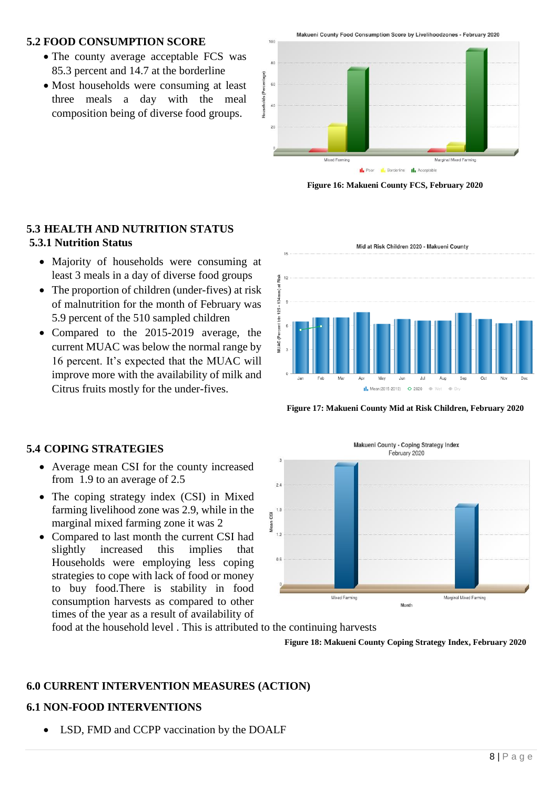# **5.2 FOOD CONSUMPTION SCORE**

- The county average acceptable FCS was 85.3 percent and 14.7 at the borderline
- Most households were consuming at least three meals a day with the meal composition being of diverse food groups.



**Il**, Poor **II**, Borderline **II**, Acceptable

 **Figure 16: Makueni County FCS, February 2020**

# **5.3 HEALTH AND NUTRITION STATUS 5.3.1 Nutrition Status**

- Majority of households were consuming at least 3 meals in a day of diverse food groups
- The proportion of children (under-fives) at risk of malnutrition for the month of February was 5.9 percent of the 510 sampled children
- Compared to the 2015-2019 average, the current MUAC was below the normal range by 16 percent. It's expected that the MUAC will improve more with the availability of milk and Citrus fruits mostly for the under-fives.



 **Figure 17: Makueni County Mid at Risk Children, February 2020**

# **5.4 COPING STRATEGIES**

- Average mean CSI for the county increased from 1.9 to an average of 2.5
- The coping strategy index (CSI) in Mixed farming livelihood zone was 2.9, while in the marginal mixed farming zone it was 2
- Compared to last month the current CSI had slightly increased this implies that Households were employing less coping strategies to cope with lack of food or money to buy food.There is stability in food consumption harvests as compared to other times of the year as a result of availability of

Makueni County - Coping Strategy Index February 2020  $\overline{2}$ C<sub>SI</sub> Mear  $10$  $0.6$ Mixed Farming Marginal Mixed Farming **Month** 

food at the household level . This is attributed to the continuing harvests

 **Figure 18: Makueni County Coping Strategy Index, February 2020**

# **6.0 CURRENT INTERVENTION MEASURES (ACTION)**

#### **6.1 NON-FOOD INTERVENTIONS**

• LSD, FMD and CCPP vaccination by the DOALF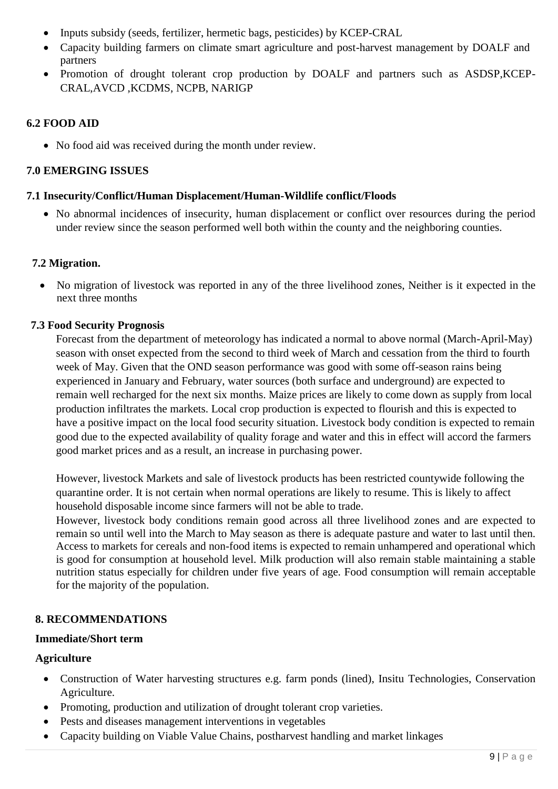- Inputs subsidy (seeds, fertilizer, hermetic bags, pesticides) by KCEP-CRAL
- Capacity building farmers on climate smart agriculture and post-harvest management by DOALF and partners
- Promotion of drought tolerant crop production by DOALF and partners such as ASDSP,KCEP-CRAL,AVCD ,KCDMS, NCPB, NARIGP

# **6.2 FOOD AID**

• No food aid was received during the month under review.

# **7.0 EMERGING ISSUES**

### **7.1 Insecurity/Conflict/Human Displacement/Human-Wildlife conflict/Floods**

• No abnormal incidences of insecurity, human displacement or conflict over resources during the period under review since the season performed well both within the county and the neighboring counties.

# **7.2 Migration.**

• No migration of livestock was reported in any of the three livelihood zones, Neither is it expected in the next three months

# **7.3 Food Security Prognosis**

Forecast from the department of meteorology has indicated a normal to above normal (March-April-May) season with onset expected from the second to third week of March and cessation from the third to fourth week of May. Given that the OND season performance was good with some off-season rains being experienced in January and February, water sources (both surface and underground) are expected to remain well recharged for the next six months. Maize prices are likely to come down as supply from local production infiltrates the markets. Local crop production is expected to flourish and this is expected to have a positive impact on the local food security situation. Livestock body condition is expected to remain good due to the expected availability of quality forage and water and this in effect will accord the farmers good market prices and as a result, an increase in purchasing power.

However, livestock Markets and sale of livestock products has been restricted countywide following the quarantine order. It is not certain when normal operations are likely to resume. This is likely to affect household disposable income since farmers will not be able to trade.

However, livestock body conditions remain good across all three livelihood zones and are expected to remain so until well into the March to May season as there is adequate pasture and water to last until then. Access to markets for cereals and non-food items is expected to remain unhampered and operational which is good for consumption at household level. Milk production will also remain stable maintaining a stable nutrition status especially for children under five years of age. Food consumption will remain acceptable for the majority of the population.

# **8. RECOMMENDATIONS**

# **Immediate/Short term**

# **Agriculture**

- Construction of Water harvesting structures e.g. farm ponds (lined), Insitu Technologies, Conservation Agriculture.
- Promoting, production and utilization of drought tolerant crop varieties.
- Pests and diseases management interventions in vegetables
- Capacity building on Viable Value Chains, postharvest handling and market linkages